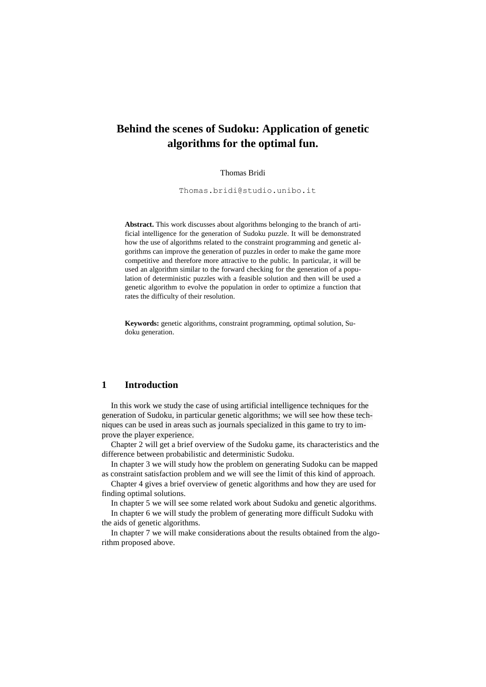# **Behind the scenes of Sudoku: Application of genetic algorithms for the optimal fun.**

#### Thomas Bridi

[Thomas.bridi@studio.unibo.it](mailto:Thomas.bridi@studio.unibo.it)

**Abstract.** This work discusses about algorithms belonging to the branch of artificial intelligence for the generation of Sudoku puzzle. It will be demonstrated how the use of algorithms related to the constraint programming and genetic algorithms can improve the generation of puzzles in order to make the game more competitive and therefore more attractive to the public. In particular, it will be used an algorithm similar to the forward checking for the generation of a population of deterministic puzzles with a feasible solution and then will be used a genetic algorithm to evolve the population in order to optimize a function that rates the difficulty of their resolution.

**Keywords:** genetic algorithms, constraint programming, optimal solution, Sudoku generation.

#### **1 Introduction**

In this work we study the case of using artificial intelligence techniques for the generation of Sudoku, in particular genetic algorithms; we will see how these techniques can be used in areas such as journals specialized in this game to try to improve the player experience.

Chapter 2 will get a brief overview of the Sudoku game, its characteristics and the difference between probabilistic and deterministic Sudoku.

In chapter 3 we will study how the problem on generating Sudoku can be mapped as constraint satisfaction problem and we will see the limit of this kind of approach.

Chapter 4 gives a brief overview of genetic algorithms and how they are used for finding optimal solutions.

In chapter 5 we will see some related work about Sudoku and genetic algorithms. In chapter 6 we will study the problem of generating more difficult Sudoku with the aids of genetic algorithms.

In chapter 7 we will make considerations about the results obtained from the algorithm proposed above.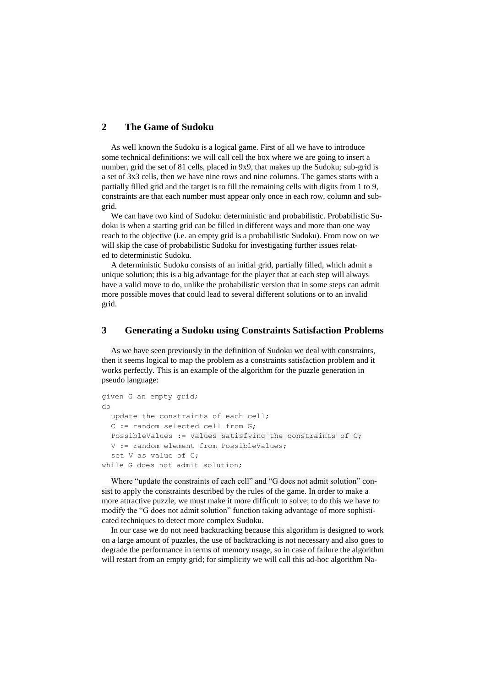### **2 The Game of Sudoku**

As well known the Sudoku is a logical game. First of all we have to introduce some technical definitions: we will call cell the box where we are going to insert a number, grid the set of 81 cells, placed in 9x9, that makes up the Sudoku; sub-grid is a set of 3x3 cells, then we have nine rows and nine columns. The games starts with a partially filled grid and the target is to fill the remaining cells with digits from 1 to 9, constraints are that each number must appear only once in each row, column and subgrid.

We can have two kind of Sudoku: deterministic and probabilistic. Probabilistic Sudoku is when a starting grid can be filled in different ways and more than one way reach to the objective (i.e. an empty grid is a probabilistic Sudoku). From now on we will skip the case of probabilistic Sudoku for investigating further issues related to deterministic Sudoku.

A deterministic Sudoku consists of an initial grid, partially filled, which admit a unique solution; this is a big advantage for the player that at each step will always have a valid move to do, unlike the probabilistic version that in some steps can admit more possible moves that could lead to several different solutions or to an invalid grid.

#### **3 Generating a Sudoku using Constraints Satisfaction Problems**

As we have seen previously in the definition of Sudoku we deal with constraints, then it seems logical to map the problem as a constraints satisfaction problem and it works perfectly. This is an example of the algorithm for the puzzle generation in pseudo language:

```
given G an empty grid;
do
  update the constraints of each cell;
  C := random selected cell from G;
  PossibleValues := values satisfying the constraints of C;
  V := random element from PossibleValues;
  set V as value of C;
while G does not admit solution;
```
Where "update the constraints of each cell" and "G does not admit solution" consist to apply the constraints described by the rules of the game. In order to make a more attractive puzzle, we must make it more difficult to solve; to do this we have to modify the "G does not admit solution" function taking advantage of more sophisticated techniques to detect more complex Sudoku.

In our case we do not need backtracking because this algorithm is designed to work on a large amount of puzzles, the use of backtracking is not necessary and also goes to degrade the performance in terms of memory usage, so in case of failure the algorithm will restart from an empty grid; for simplicity we will call this ad-hoc algorithm Na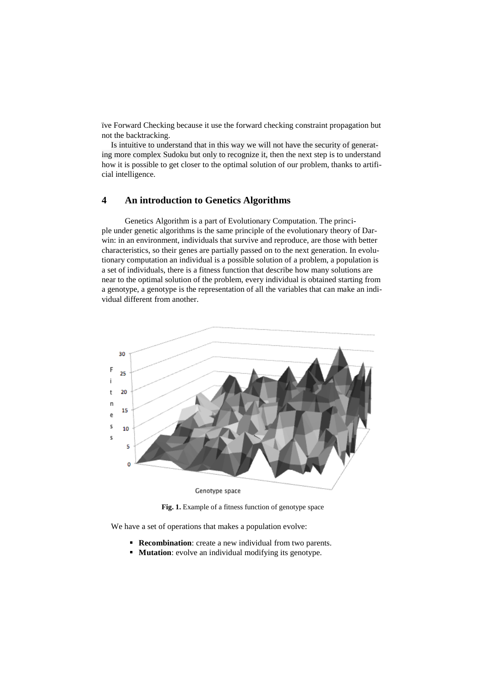ïve Forward Checking because it use the forward checking constraint propagation but not the backtracking.

Is intuitive to understand that in this way we will not have the security of generating more complex Sudoku but only to recognize it, then the next step is to understand how it is possible to get closer to the optimal solution of our problem, thanks to artificial intelligence.

## **4 An introduction to Genetics Algorithms**

Genetics Algorithm is a part of Evolutionary Computation. The principle under genetic algorithms is the same principle of the evolutionary theory of Darwin: in an environment, individuals that survive and reproduce, are those with better characteristics, so their genes are partially passed on to the next generation. In evolutionary computation an individual is a possible solution of a problem, a population is a set of individuals, there is a fitness function that describe how many solutions are near to the optimal solution of the problem, every individual is obtained starting from a genotype, a genotype is the representation of all the variables that can make an individual different from another.



**Fig. 1.** Example of a fitness function of genotype space

We have a set of operations that makes a population evolve:

- **Recombination**: create a new individual from two parents.
- **Mutation:** evolve an individual modifying its genotype.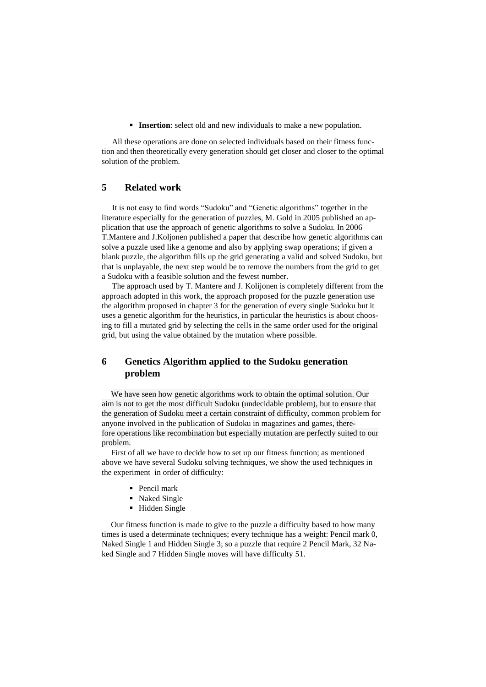**Insertion**: select old and new individuals to make a new population.

 All these operations are done on selected individuals based on their fitness function and then theoretically every generation should get closer and closer to the optimal solution of the problem.

## **5 Related work**

 It is not easy to find words "Sudoku" and "Genetic algorithms" together in the literature especially for the generation of puzzles, M. Gold in 2005 published an application that use the approach of genetic algorithms to solve a Sudoku. In 2006 T.Mantere and J.Koljonen published a paper that describe how genetic algorithms can solve a puzzle used like a genome and also by applying swap operations; if given a blank puzzle, the algorithm fills up the grid generating a valid and solved Sudoku, but that is unplayable, the next step would be to remove the numbers from the grid to get a Sudoku with a feasible solution and the fewest number.

 The approach used by T. Mantere and J. Kolijonen is completely different from the approach adopted in this work, the approach proposed for the puzzle generation use the algorithm proposed in chapter 3 for the generation of every single Sudoku but it uses a genetic algorithm for the heuristics, in particular the heuristics is about choosing to fill a mutated grid by selecting the cells in the same order used for the original grid, but using the value obtained by the mutation where possible.

# **6 Genetics Algorithm applied to the Sudoku generation problem**

We have seen how genetic algorithms work to obtain the optimal solution. Our aim is not to get the most difficult Sudoku (undecidable problem), but to ensure that the generation of Sudoku meet a certain constraint of difficulty, common problem for anyone involved in the publication of Sudoku in magazines and games, therefore operations like recombination but especially mutation are perfectly suited to our problem.

First of all we have to decide how to set up our fitness function; as mentioned above we have several Sudoku solving techniques, we show the used techniques in the experiment in order of difficulty:

- Pencil mark
- Naked Single
- **-** Hidden Single

Our fitness function is made to give to the puzzle a difficulty based to how many times is used a determinate techniques; every technique has a weight: Pencil mark 0, Naked Single 1 and Hidden Single 3; so a puzzle that require 2 Pencil Mark, 32 Naked Single and 7 Hidden Single moves will have difficulty 51.